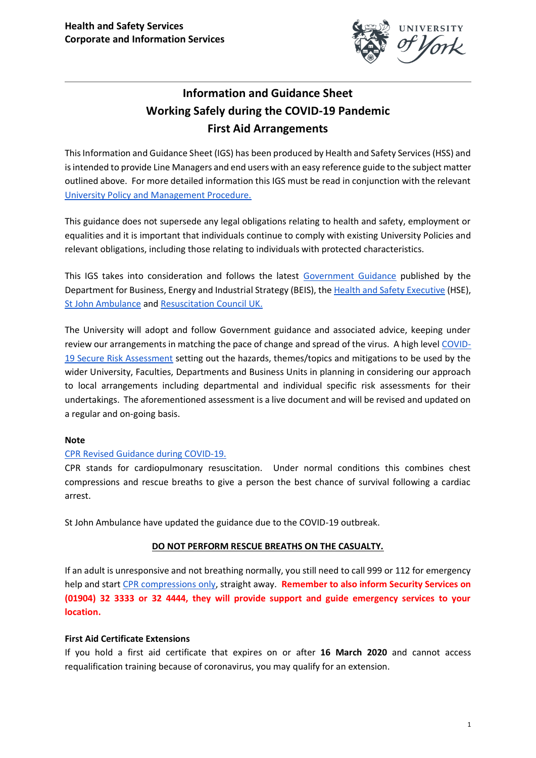

# **Information and Guidance Sheet Working Safely during the COVID-19 Pandemic First Aid Arrangements**

This Information and Guidance Sheet (IGS) has been produced by Health and Safety Services (HSS) and is intended to provide Line Managers and end users with an easy reference guide to the subject matter outlined above. For more detailed information this IGS must be read in conjunction with the relevant [University Policy and Management Procedure.](https://docs.google.com/document/d/1FbPEvCMYM6lkU_6Soi98F96hctai3EnWQG7PSN8eNA8/edit?usp=sharing) 

This guidance does not supersede any legal obligations relating to health and safety, employment or equalities and it is important that individuals continue to comply with existing University Policies and relevant obligations, including those relating to individuals with protected characteristics.

This IGS takes into consideration and follows the latest [Government Guidance](https://www.gov.uk/coronavirus) published by the Department for Business, Energy and Industrial Strategy (BEIS), the [Health and Safety Executive](https://www.hse.gov.uk/news/first-aid-certificate-coronavirus.htm) (HSE), [St John Ambulance](https://www.sja.org.uk/get-advice/first-aid-advice/covid-19-advice-for-first-aiders/) and [Resuscitation Council UK.](https://www.resus.org.uk/media/statements/resuscitation-council-uk-statements-on-covid-19-coronavirus-cpr-and-resuscitation/covid-community/)

The University will adopt and follow Government guidance and associated advice, keeping under review our arrangements in matching the pace of change and spread of the virus. A high level [COVID-](https://docs.google.com/document/d/1AYMLLw8jhC6LVfoYEaDuKjEkkPSeK6u25E2iapw5vu4/edit?usp=sharing)[19 Secure Risk Assessment](https://docs.google.com/document/d/1AYMLLw8jhC6LVfoYEaDuKjEkkPSeK6u25E2iapw5vu4/edit?usp=sharing) setting out the hazards, themes/topics and mitigations to be used by the wider University, Faculties, Departments and Business Units in planning in considering our approach to local arrangements including departmental and individual specific risk assessments for their undertakings. The aforementioned assessment is a live document and will be revised and updated on a regular and on-going basis.

## **Note**

# [CPR Revised Guidance during COVID-19.](https://www.sja.org.uk/get-advice/first-aid-advice/unresponsive-casualty/how-to-do-cpr-on-an-adult/)

CPR stands for cardiopulmonary resuscitation. Under normal conditions this combines chest compressions and rescue breaths to give a person the best chance of survival following a cardiac arrest.

St John Ambulance have updated the guidance due to the COVID-19 outbreak.

## **DO NOT PERFORM RESCUE BREATHS ON THE CASUALTY.**

If an adult is unresponsive and not breathing normally, you still need to call 999 or 112 for emergency help and start [CPR](https://www.nhs.uk/conditions/first-aid/cpr/) [compressions only,](https://www.nhs.uk/conditions/first-aid/cpr/) straight away. **Remember to also inform Security Services on (01904) 32 3333 or 32 4444, they will provide support and guide emergency services to your location.**

## **First Aid Certificate Extensions**

If you hold a first aid certificate that expires on or after **16 March 2020** and cannot access requalification training because of coronavirus, you may qualify for an extension.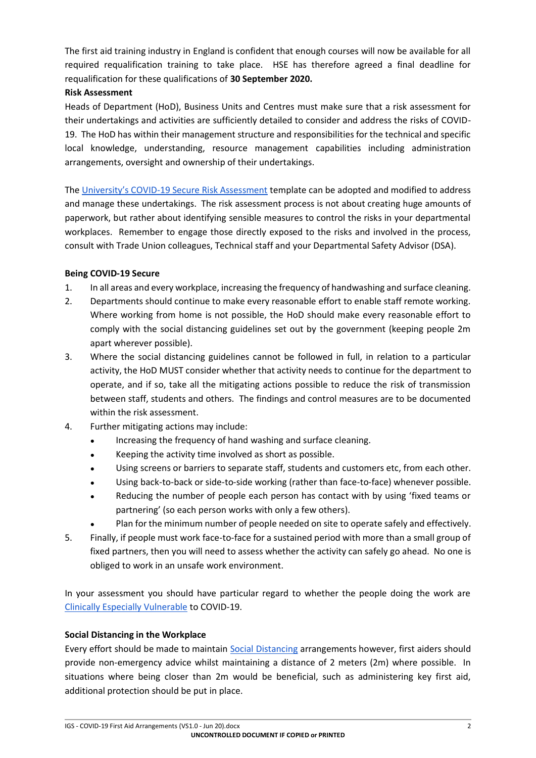The first aid training industry in England is confident that enough courses will now be available for all required requalification training to take place. HSE has therefore agreed a final deadline for requalification for these qualifications of **30 September 2020.**

## **Risk Assessment**

Heads of Department (HoD), Business Units and Centres must make sure that a risk assessment for their undertakings and activities are sufficiently detailed to consider and address the risks of COVID-19. The HoD has within their management structure and responsibilities for the technical and specific local knowledge, understanding, resource management capabilities including administration arrangements, oversight and ownership of their undertakings.

The University's COVID[-19 Secure Risk Assessment](https://docs.google.com/document/d/1AYMLLw8jhC6LVfoYEaDuKjEkkPSeK6u25E2iapw5vu4/edit?usp=sharing) template can be adopted and modified to address and manage these undertakings. The risk assessment process is not about creating huge amounts of paperwork, but rather about identifying sensible measures to control the risks in your departmental workplaces. Remember to engage those directly exposed to the risks and involved in the process, consult with Trade Union colleagues, Technical staff and your Departmental Safety Advisor (DSA).

## **Being COVID-19 Secure**

- 1. In all areas and every workplace, increasing the frequency of handwashing and surface cleaning.
- 2. Departments should continue to make every reasonable effort to enable staff remote working. Where working from home is not possible, the HoD should make every reasonable effort to comply with the social distancing guidelines set out by the government (keeping people 2m apart wherever possible).
- 3. Where the social distancing guidelines cannot be followed in full, in relation to a particular activity, the HoD MUST consider whether that activity needs to continue for the department to operate, and if so, take all the mitigating actions possible to reduce the risk of transmission between staff, students and others. The findings and control measures are to be documented within the risk assessment.
- 4. Further mitigating actions may include:
	- Increasing the frequency of hand washing and surface cleaning.
	- Keeping the activity time involved as short as possible.
	- Using screens or barriers to separate staff, students and customers etc, from each other.
	- Using back-to-back or side-to-side working (rather than face-to-face) whenever possible.
	- Reducing the number of people each person has contact with by using 'fixed teams or partnering' (so each person works with only a few others).
	- Plan for the minimum number of people needed on site to operate safely and effectively.
- 5. Finally, if people must work face-to-face for a sustained period with more than a small group of fixed partners, then you will need to assess whether the activity can safely go ahead. No one is obliged to work in an unsafe work environment.

In your assessment you should have particular regard to whether the people doing the work are [Clinically Especially Vulnerable](https://www.gov.uk/government/publications/guidance-on-shielding-and-protecting-extremely-vulnerable-persons-from-covid-19/guidance-on-shielding-and-protecting-extremely-vulnerable-persons-from-covid-19) to COVID-19.

## **Social Distancing in the Workplace**

Every effort should be made to maintain [Social Distancing](https://www.gov.uk/government/publications/staying-alert-and-safe-social-distancing?utm_source=ab1ab3af-b3c1-482a-a6fa-42d90bd91469&utm_medium=email&utm_campaign=govuk-notifications&utm_content=daily) arrangements however, first aiders should provide non-emergency advice whilst maintaining a distance of 2 meters (2m) where possible. In situations where being closer than 2m would be beneficial, such as administering key first aid, additional protection should be put in place.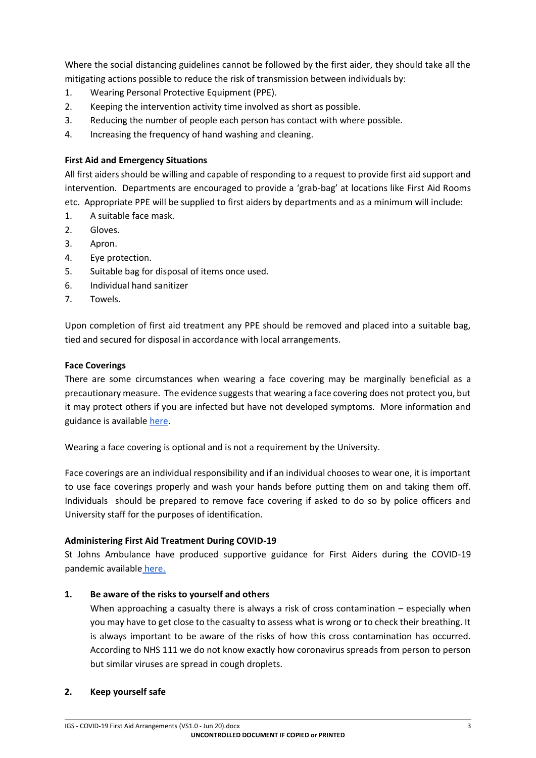Where the social distancing guidelines cannot be followed by the first aider, they should take all the mitigating actions possible to reduce the risk of transmission between individuals by:

- 1. Wearing Personal Protective Equipment (PPE).
- 2. Keeping the intervention activity time involved as short as possible.
- 3. Reducing the number of people each person has contact with where possible.
- 4. Increasing the frequency of hand washing and cleaning.

## **First Aid and Emergency Situations**

All first aiders should be willing and capable of responding to a request to provide first aid support and intervention. Departments are encouraged to provide a 'grab-bag' at locations like First Aid Rooms etc. Appropriate PPE will be supplied to first aiders by departments and as a minimum will include:

- 1. A suitable face mask.
- 2. Gloves.
- 3. Apron.
- 4. Eye protection.
- 5. Suitable bag for disposal of items once used.
- 6. Individual hand sanitizer
- 7. Towels.

Upon completion of first aid treatment any PPE should be removed and placed into a suitable bag, tied and secured for disposal in accordance with local arrangements.

### **Face Coverings**

There are some circumstances when wearing a face covering may be marginally beneficial as a precautionary measure. The evidence suggests that wearing a face covering does not protect you, but it may protect others if you are infected but have not developed symptoms. More information and guidance is available [here.](https://www.gov.uk/)

Wearing a face covering is optional and is not a requirement by the University.

Face coverings are an individual responsibility and if an individual chooses to wear one, it is important to use face coverings properly and wash your hands before putting them on and taking them off. Individuals should be prepared to remove face covering if asked to do so by police officers and University staff for the purposes of identification.

#### **Administering First Aid Treatment During COVID-19**

St Johns Ambulance have produced supportive guidance for First Aiders during the COVID-19 pandemic available [here.](https://www.sja.org.uk/get-advice/first-aid-advice/covid-19-advice-for-first-aiders/)

## **1. Be aware of the risks to yourself and others**

When approaching a casualty there is always a risk of cross contamination – especially when you may have to get close to the casualty to assess what is wrong or to check their breathing. It is always important to be aware of the risks of how this cross contamination has occurred. According to NHS 111 we do not know exactly how coronavirus spreads from person to person but similar viruses are spread in cough droplets.

#### **2. Keep yourself safe**